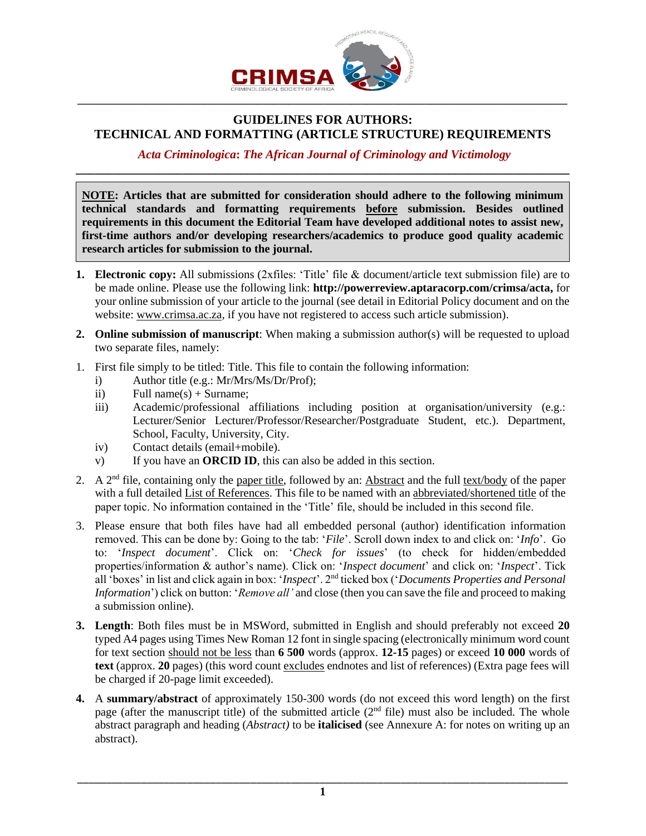

# **GUIDELINES FOR AUTHORS: TECHNICAL AND FORMATTING (ARTICLE STRUCTURE) REQUIREMENTS**

## *Acta Criminologica***:** *The African Journal of Criminology and Victimology* **\_\_\_\_\_\_\_\_\_\_\_\_\_\_\_\_\_\_\_\_\_\_\_\_\_\_\_\_\_\_\_\_\_\_\_\_\_\_\_\_\_\_\_\_\_\_\_\_\_\_\_\_\_\_\_\_\_\_\_\_\_\_\_\_\_\_\_\_\_\_\_\_\_\_\_\_\_\_**

**NOTE: Articles that are submitted for consideration should adhere to the following minimum technical standards and formatting requirements before submission. Besides outlined requirements in this document the Editorial Team have developed additional notes to assist new, first-time authors and/or developing researchers/academics to produce good quality academic research articles for submission to the journal.**

- **1. Electronic copy:** All submissions (2xfiles: 'Title' file & document/article text submission file) are to be made online. Please use the following link: **[http://powerreview.aptaracorp.com/crimsa/acta,](http://powerreview.aptaracorp.com/crimsa/acta)** for your online submission of your article to the journal (see detail in Editorial Policy document and on the website: [www.crimsa.ac.za,](http://www.crimsa.ac.za/) if you have not registered to access such article submission).
- **2. Online submission of manuscript**: When making a submission author(s) will be requested to upload two separate files, namely:
- 1. First file simply to be titled: Title. This file to contain the following information:
	- i) Author title (e.g.: Mr/Mrs/Ms/Dr/Prof);
	- ii) Full name(s) + Surname;
	- iii) Academic/professional affiliations including position at organisation/university (e.g.: Lecturer/Senior Lecturer/Professor/Researcher/Postgraduate Student, etc.). Department, School, Faculty, University, City.
	- iv) Contact details (email+mobile).
	- v) If you have an **ORCID ID**, this can also be added in this section.
- 2. A  $2<sup>nd</sup>$  file, containing only the paper title, followed by an: Abstract and the full text/body of the paper with a full detailed List of References. This file to be named with an abbreviated/shortened title of the paper topic. No information contained in the 'Title' file, should be included in this second file.
- 3. Please ensure that both files have had all embedded personal (author) identification information removed. This can be done by: Going to the tab: '*File*'. Scroll down index to and click on: '*Info*'. Go to: '*Inspect document*'. Click on: '*Check for issues*' (to check for hidden/embedded properties/information & author's name). Click on: '*Inspect document*' and click on: '*Inspect*'. Tick all 'boxes' in list and click again in box: '*Inspect*'. 2nd ticked box ('*Documents Properties and Personal Information*') click on button: '*Remove all'* and close (then you can save the file and proceed to making a submission online).
- **3. Length**: Both files must be in MSWord, submitted in English and should preferably not exceed **20** typed A4 pages using Times New Roman 12 font in single spacing (electronically minimum word count for text section should not be less than **6 500** words (approx. **12-15** pages) or exceed **10 000** words of **text** (approx. **20** pages) (this word count excludes endnotes and list of references) (Extra page fees will be charged if 20-page limit exceeded).
- **4.** A **summary/abstract** of approximately 150-300 words (do not exceed this word length) on the first page (after the manuscript title) of the submitted article  $(2<sup>nd</sup>$  file) must also be included. The whole abstract paragraph and heading (*Abstract)* to be **italicised** (see Annexure A: for notes on writing up an abstract).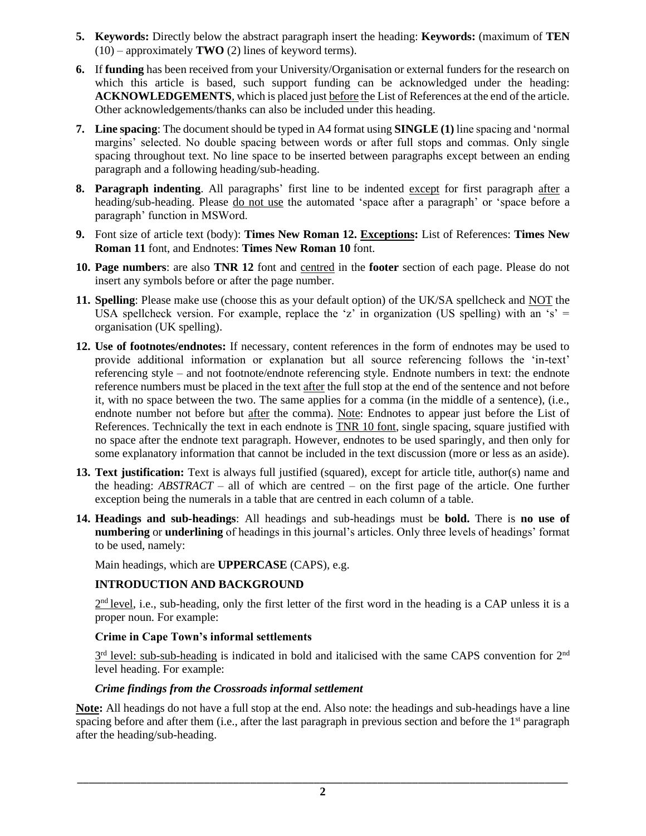- **5. Keywords:** Directly below the abstract paragraph insert the heading: **Keywords:** (maximum of **TEN** (10) – approximately **TWO** (2) lines of keyword terms).
- **6.** If **funding** has been received from your University/Organisation or external funders for the research on which this article is based, such support funding can be acknowledged under the heading: **ACKNOWLEDGEMENTS**, which is placed just before the List of References at the end of the article. Other acknowledgements/thanks can also be included under this heading.
- **7. Line spacing**: The document should be typed in A4 format using **SINGLE (1)** line spacing and 'normal margins' selected. No double spacing between words or after full stops and commas. Only single spacing throughout text. No line space to be inserted between paragraphs except between an ending paragraph and a following heading/sub-heading.
- **8. Paragraph indenting**. All paragraphs' first line to be indented except for first paragraph after a heading/sub-heading. Please do not use the automated 'space after a paragraph' or 'space before a paragraph' function in MSWord.
- **9.** Font size of article text (body): **Times New Roman 12. Exceptions:** List of References: **Times New Roman 11** font, and Endnotes: **Times New Roman 10** font.
- **10. Page numbers**: are also **TNR 12** font and centred in the **footer** section of each page. Please do not insert any symbols before or after the page number.
- **11. Spelling**: Please make use (choose this as your default option) of the UK/SA spellcheck and NOT the USA spellcheck version. For example, replace the 'z' in organization (US spelling) with an 's' = organisation (UK spelling).
- **12. Use of footnotes/endnotes:** If necessary, content references in the form of endnotes may be used to provide additional information or explanation but all source referencing follows the 'in-text' referencing style – and not footnote/endnote referencing style. Endnote numbers in text: the endnote reference numbers must be placed in the text after the full stop at the end of the sentence and not before it, with no space between the two. The same applies for a comma (in the middle of a sentence), (i.e., endnote number not before but after the comma). Note: Endnotes to appear just before the List of References. Technically the text in each endnote is TNR 10 font, single spacing, square justified with no space after the endnote text paragraph. However, endnotes to be used sparingly, and then only for some explanatory information that cannot be included in the text discussion (more or less as an aside).
- **13. Text justification:** Text is always full justified (squared), except for article title, author(s) name and the heading: *ABSTRACT* – all of which are centred – on the first page of the article. One further exception being the numerals in a table that are centred in each column of a table.
- **14. Headings and sub-headings**: All headings and sub-headings must be **bold.** There is **no use of numbering** or **underlining** of headings in this journal's articles. Only three levels of headings' format to be used, namely:

Main headings, which are **UPPERCASE** (CAPS), e.g.

## **INTRODUCTION AND BACKGROUND**

 $2<sup>nd</sup>$  level, i.e., sub-heading, only the first letter of the first word in the heading is a CAP unless it is a proper noun. For example:

## **Crime in Cape Town's informal settlements**

 $3<sup>rd</sup>$  level: sub-sub-heading is indicated in bold and italicised with the same CAPS convention for  $2<sup>nd</sup>$ level heading. For example:

## *Crime findings from the Crossroads informal settlement*

**Note:** All headings do not have a full stop at the end. Also note: the headings and sub-headings have a line spacing before and after them (i.e., after the last paragraph in previous section and before the  $1<sup>st</sup>$  paragraph after the heading/sub-heading.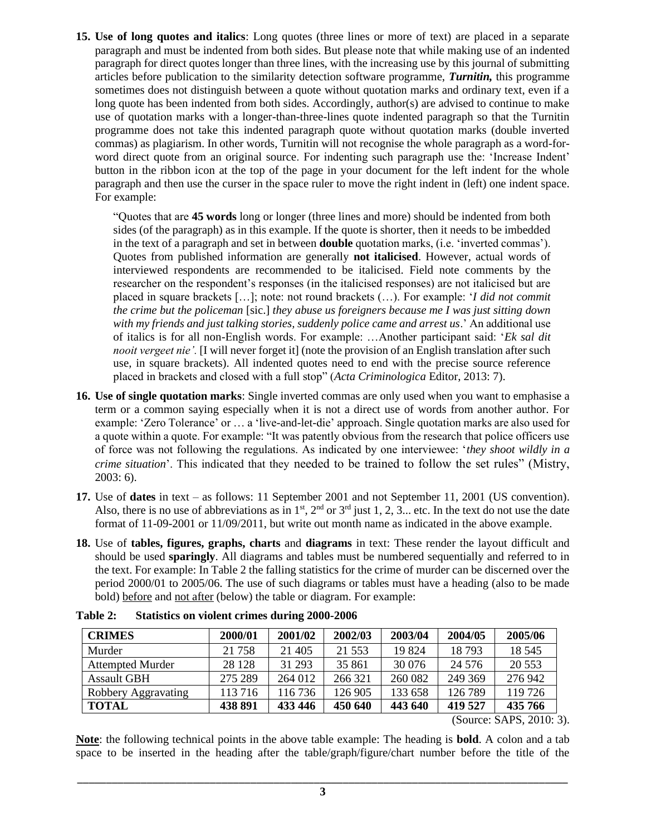**15. Use of long quotes and italics**: Long quotes (three lines or more of text) are placed in a separate paragraph and must be indented from both sides. But please note that while making use of an indented paragraph for direct quotes longer than three lines, with the increasing use by this journal of submitting articles before publication to the similarity detection software programme, *Turnitin,* this programme sometimes does not distinguish between a quote without quotation marks and ordinary text, even if a long quote has been indented from both sides. Accordingly, author(s) are advised to continue to make use of quotation marks with a longer-than-three-lines quote indented paragraph so that the Turnitin programme does not take this indented paragraph quote without quotation marks (double inverted commas) as plagiarism. In other words, Turnitin will not recognise the whole paragraph as a word-forword direct quote from an original source. For indenting such paragraph use the: 'Increase Indent' button in the ribbon icon at the top of the page in your document for the left indent for the whole paragraph and then use the curser in the space ruler to move the right indent in (left) one indent space. For example:

"Quotes that are **45 words** long or longer (three lines and more) should be indented from both sides (of the paragraph) as in this example. If the quote is shorter, then it needs to be imbedded in the text of a paragraph and set in between **double** quotation marks, (i.e. 'inverted commas'). Quotes from published information are generally **not italicised**. However, actual words of interviewed respondents are recommended to be italicised. Field note comments by the researcher on the respondent's responses (in the italicised responses) are not italicised but are placed in square brackets […]; note: not round brackets (…). For example: '*I did not commit the crime but the policeman* [sic.] *they abuse us foreigners because me I was just sitting down with my friends and just talking stories, suddenly police came and arrest us*.' An additional use of italics is for all non-English words. For example: …Another participant said: '*Ek sal dit nooit vergeet nie'.* [I will never forget it] (note the provision of an English translation after such use, in square brackets). All indented quotes need to end with the precise source reference placed in brackets and closed with a full stop" (*Acta Criminologica* Editor, 2013: 7).

- **16. Use of single quotation marks**: Single inverted commas are only used when you want to emphasise a term or a common saying especially when it is not a direct use of words from another author. For example: 'Zero Tolerance' or … a 'live-and-let-die' approach. Single quotation marks are also used for a quote within a quote. For example: "It was patently obvious from the research that police officers use of force was not following the regulations. As indicated by one interviewee: '*they shoot wildly in a crime situation*'. This indicated that they needed to be trained to follow the set rules" (Mistry, 2003: 6).
- **17.** Use of **dates** in text as follows: 11 September 2001 and not September 11, 2001 (US convention). Also, there is no use of abbreviations as in  $1^{st}$ ,  $2^{nd}$  or  $3^{rd}$  just 1, 2, 3... etc. In the text do not use the date format of 11-09-2001 or 11/09/2011, but write out month name as indicated in the above example.
- **18.** Use of **tables, figures, graphs, charts** and **diagrams** in text: These render the layout difficult and should be used **sparingly**. All diagrams and tables must be numbered sequentially and referred to in the text. For example: In Table 2 the falling statistics for the crime of murder can be discerned over the period 2000/01 to 2005/06. The use of such diagrams or tables must have a heading (also to be made bold) before and not after (below) the table or diagram. For example:

| <b>CRIMES</b>           | 2000/01 | 2001/02 | 2002/03  | 2003/04 | 2004/05  | 2005/06  |
|-------------------------|---------|---------|----------|---------|----------|----------|
| Murder                  | 21 758  | 21 405  | 21 5 5 3 | 19 824  | 18 793   | 18 5 45  |
| <b>Attempted Murder</b> | 28 1 28 | 31 293  | 35 861   | 30 0 76 | 24 5 7 6 | 20 5 5 3 |
| <b>Assault GBH</b>      | 275 289 | 264 012 | 266 321  | 260 082 | 249 369  | 276 942  |
| Robbery Aggravating     | 113 716 | 116 736 | 126 905  | 133 658 | 126 789  | 119 726  |
| <b>TOTAL</b>            | 438 891 | 433 446 | 450 640  | 443 640 | 419 527  | 435 766  |

| Table 2: |  |  | <b>Statistics on violent crimes during 2000-2006</b> |
|----------|--|--|------------------------------------------------------|
|----------|--|--|------------------------------------------------------|

(Source: SAPS, 2010: 3).

**Note**: the following technical points in the above table example: The heading is **bold**. A colon and a tab space to be inserted in the heading after the table/graph/figure/chart number before the title of the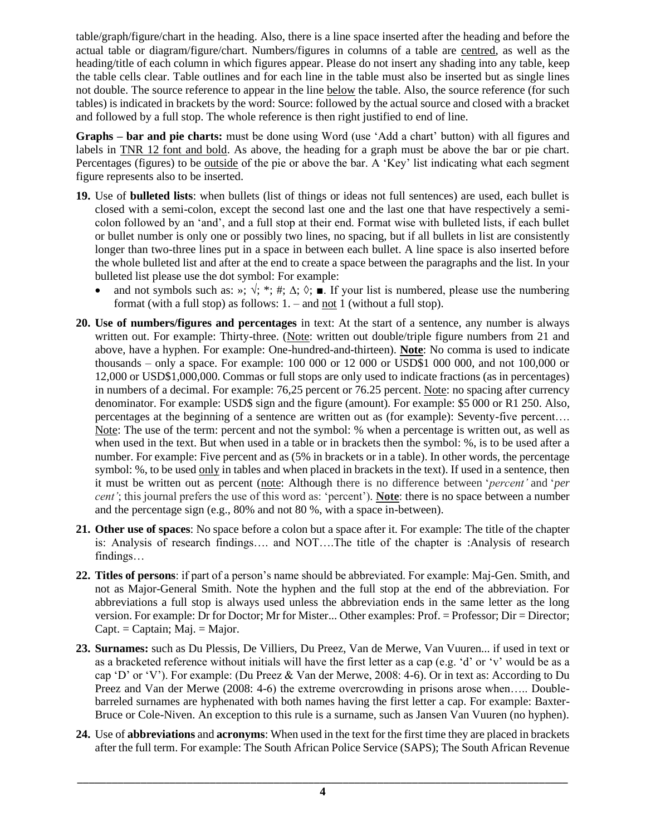table/graph/figure/chart in the heading. Also, there is a line space inserted after the heading and before the actual table or diagram/figure/chart. Numbers/figures in columns of a table are centred, as well as the heading/title of each column in which figures appear. Please do not insert any shading into any table, keep the table cells clear. Table outlines and for each line in the table must also be inserted but as single lines not double. The source reference to appear in the line below the table. Also, the source reference (for such tables) is indicated in brackets by the word: Source: followed by the actual source and closed with a bracket and followed by a full stop. The whole reference is then right justified to end of line.

**Graphs – bar and pie charts:** must be done using Word (use 'Add a chart' button) with all figures and labels in TNR 12 font and bold. As above, the heading for a graph must be above the bar or pie chart. Percentages (figures) to be outside of the pie or above the bar. A 'Key' list indicating what each segment figure represents also to be inserted.

- **19.** Use of **bulleted lists**: when bullets (list of things or ideas not full sentences) are used, each bullet is closed with a semi-colon, except the second last one and the last one that have respectively a semicolon followed by an 'and', and a full stop at their end. Format wise with bulleted lists, if each bullet or bullet number is only one or possibly two lines, no spacing, but if all bullets in list are consistently longer than two-three lines put in a space in between each bullet. A line space is also inserted before the whole bulleted list and after at the end to create a space between the paragraphs and the list. In your bulleted list please use the dot symbol: For example:
	- and not symbols such as: »;  $\sqrt{$ ; \*; #;  $\Delta$ ;  $\Diamond$ ;  $\blacksquare$ . If your list is numbered, please use the numbering format (with a full stop) as follows: 1. – and not 1 (without a full stop).
- **20. Use of numbers/figures and percentages** in text: At the start of a sentence, any number is always written out. For example: Thirty-three. (Note: written out double/triple figure numbers from 21 and above, have a hyphen. For example: One-hundred-and-thirteen). **Note**: No comma is used to indicate thousands – only a space. For example: 100 000 or 12 000 or USD\$1 000 000, and not 100,000 or 12,000 or USD\$1,000,000. Commas or full stops are only used to indicate fractions (as in percentages) in numbers of a decimal. For example: 76,25 percent or 76.25 percent. Note: no spacing after currency denominator. For example: USD\$ sign and the figure (amount). For example: \$5 000 or R1 250. Also, percentages at the beginning of a sentence are written out as (for example): Seventy-five percent…. Note: The use of the term: percent and not the symbol: % when a percentage is written out, as well as when used in the text. But when used in a table or in brackets then the symbol: %, is to be used after a number. For example: Five percent and as (5% in brackets or in a table). In other words, the percentage symbol: %, to be used only in tables and when placed in brackets in the text). If used in a sentence, then it must be written out as percent (note: Although there is no difference between '*percent'* and '*per cent'*; this journal prefers the use of this word as: 'percent')*.* **Note**: there is no space between a number and the percentage sign (e.g., 80% and not 80 %, with a space in-between).
- **21. Other use of spaces**: No space before a colon but a space after it. For example: The title of the chapter is: Analysis of research findings…. and NOT….The title of the chapter is :Analysis of research findings…
- **22. Titles of persons**: if part of a person's name should be abbreviated. For example: Maj-Gen. Smith, and not as Major-General Smith. Note the hyphen and the full stop at the end of the abbreviation. For abbreviations a full stop is always used unless the abbreviation ends in the same letter as the long version. For example: Dr for Doctor; Mr for Mister... Other examples: Prof. = Professor; Dir = Director;  $Capt = Captain$ ; Maj. = Major.
- **23. Surnames:** such as Du Plessis, De Villiers, Du Preez, Van de Merwe, Van Vuuren... if used in text or as a bracketed reference without initials will have the first letter as a cap (e.g. 'd' or 'v' would be as a cap 'D' or 'V'). For example: (Du Preez & Van der Merwe, 2008: 4-6). Or in text as: According to Du Preez and Van der Merwe (2008: 4-6) the extreme overcrowding in prisons arose when….. Doublebarreled surnames are hyphenated with both names having the first letter a cap. For example: Baxter-Bruce or Cole-Niven. An exception to this rule is a surname, such as Jansen Van Vuuren (no hyphen).
- **24.** Use of **abbreviations** and **acronyms**: When used in the text for the first time they are placed in brackets after the full term. For example: The South African Police Service (SAPS); The South African Revenue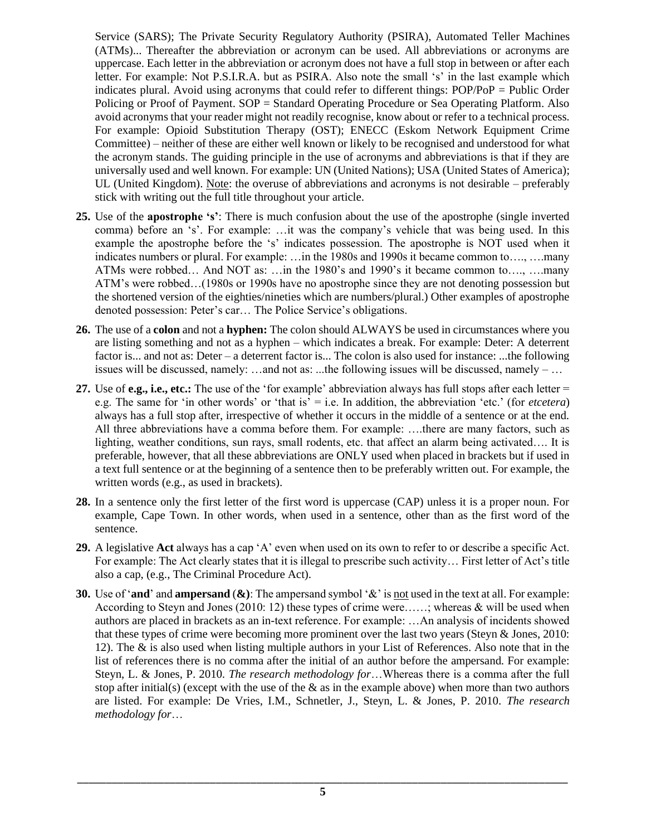Service (SARS); The Private Security Regulatory Authority (PSIRA), Automated Teller Machines (ATMs)... Thereafter the abbreviation or acronym can be used. All abbreviations or acronyms are uppercase. Each letter in the abbreviation or acronym does not have a full stop in between or after each letter. For example: Not P.S.I.R.A. but as PSIRA. Also note the small 's' in the last example which indicates plural. Avoid using acronyms that could refer to different things: POP/PoP = Public Order Policing or Proof of Payment. SOP = Standard Operating Procedure or Sea Operating Platform. Also avoid acronyms that your reader might not readily recognise, know about or refer to a technical process. For example: Opioid Substitution Therapy (OST); ENECC (Eskom Network Equipment Crime Committee) – neither of these are either well known or likely to be recognised and understood for what the acronym stands. The guiding principle in the use of acronyms and abbreviations is that if they are universally used and well known. For example: UN (United Nations); USA (United States of America); UL (United Kingdom). Note: the overuse of abbreviations and acronyms is not desirable – preferably stick with writing out the full title throughout your article.

- **25.** Use of the **apostrophe 's'**: There is much confusion about the use of the apostrophe (single inverted comma) before an 's'. For example: …it was the company's vehicle that was being used. In this example the apostrophe before the 's' indicates possession. The apostrophe is NOT used when it indicates numbers or plural. For example: …in the 1980s and 1990s it became common to…., ….many ATMs were robbed… And NOT as: …in the 1980's and 1990's it became common to…., ….many ATM's were robbed…(1980s or 1990s have no apostrophe since they are not denoting possession but the shortened version of the eighties/nineties which are numbers/plural.) Other examples of apostrophe denoted possession: Peter's car… The Police Service's obligations.
- **26.** The use of a **colon** and not a **hyphen:** The colon should ALWAYS be used in circumstances where you are listing something and not as a hyphen – which indicates a break. For example: Deter: A deterrent factor is... and not as: Deter – a deterrent factor is... The colon is also used for instance: ...the following issues will be discussed, namely: ...and not as: ...the following issues will be discussed, namely – ...
- **27.** Use of **e.g., i.e., etc.:** The use of the 'for example' abbreviation always has full stops after each letter = e.g. The same for 'in other words' or 'that is' = i.e. In addition, the abbreviation 'etc.' (for *etcetera*) always has a full stop after, irrespective of whether it occurs in the middle of a sentence or at the end. All three abbreviations have a comma before them. For example: ….there are many factors, such as lighting, weather conditions, sun rays, small rodents, etc. that affect an alarm being activated…. It is preferable, however, that all these abbreviations are ONLY used when placed in brackets but if used in a text full sentence or at the beginning of a sentence then to be preferably written out. For example, the written words (e.g., as used in brackets).
- **28.** In a sentence only the first letter of the first word is uppercase (CAP) unless it is a proper noun. For example, Cape Town. In other words, when used in a sentence, other than as the first word of the sentence.
- **29.** A legislative **Act** always has a cap 'A' even when used on its own to refer to or describe a specific Act. For example: The Act clearly states that it is illegal to prescribe such activity… First letter of Act's title also a cap, (e.g., The Criminal Procedure Act).
- **30.** Use of '**and**' and **ampersand** (**&)**: The ampersand symbol '&' is not used in the text at all. For example: According to Steyn and Jones (2010: 12) these types of crime were……; whereas & will be used when authors are placed in brackets as an in-text reference. For example: …An analysis of incidents showed that these types of crime were becoming more prominent over the last two years (Steyn & Jones, 2010: 12). The & is also used when listing multiple authors in your List of References. Also note that in the list of references there is no comma after the initial of an author before the ampersand. For example: Steyn, L. & Jones, P. 2010. *The research methodology for*…Whereas there is a comma after the full stop after initial(s) (except with the use of the  $\&$  as in the example above) when more than two authors are listed. For example: De Vries, I.M., Schnetler, J., Steyn, L. & Jones, P. 2010. *The research methodology for*…